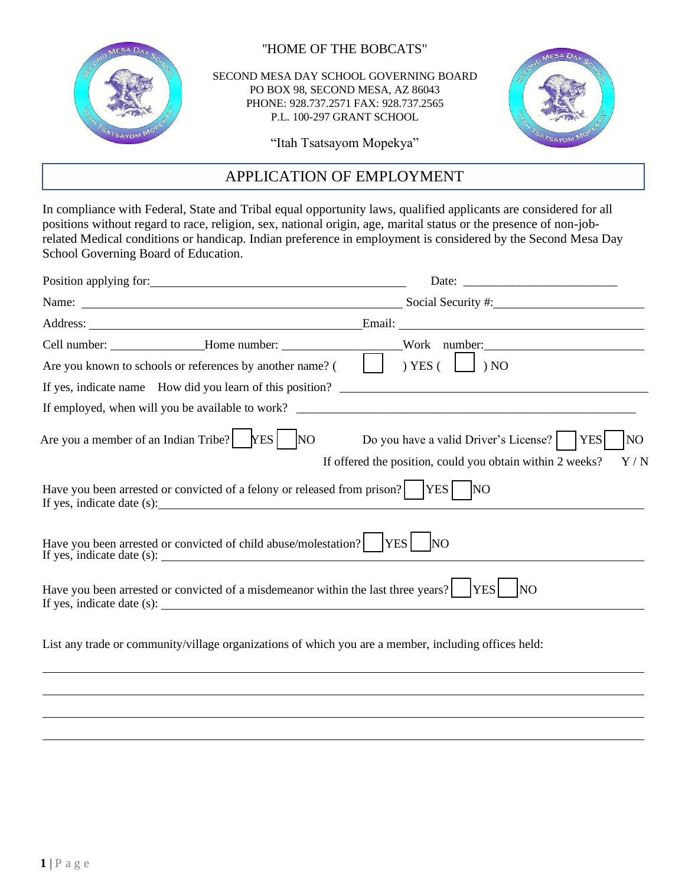

''HOME OF THE BOBCATS"

SECOND MESA DAY SCHOOL GOVERNING BOARD PO BOX 98, SECOND MESA, AZ 86043 PHONE: 928.737.2571 FAX: 928.737.2565 P.L. 100-297 GRANT SCHOOL



"Itah Tsatsayom Mopekya"

## APPLICATION OF EMPLOYMENT

In compliance with Federal, State and Tribal equal opportunity laws, qualified applicants are considered for all positions without regard to race, religion, sex, national origin, age, marital status or the presence of non-jobrelated Medical conditions or handicap. Indian preference in employment is considered by the Second Mesa Day School Governing Board of Education.

| Position applying for:                                                                                                 |                                                                                                                                            |
|------------------------------------------------------------------------------------------------------------------------|--------------------------------------------------------------------------------------------------------------------------------------------|
|                                                                                                                        | Name: Social Security #:                                                                                                                   |
|                                                                                                                        |                                                                                                                                            |
| Are you known to schools or references by another name? (                                                              | $)$ YES (<br>) NO                                                                                                                          |
|                                                                                                                        | If yes, indicate name How did you learn of this position?                                                                                  |
|                                                                                                                        |                                                                                                                                            |
| Are you a member of an Indian Tribe? $YES$<br><b>NO</b>                                                                | Do you have a valid Driver's License?<br>NO <sub>1</sub><br><b>YES</b><br>If offered the position, could you obtain within 2 weeks?<br>Y/N |
| Have you been arrested or convicted of a felony or released from prison?<br>If yes, indicate date (s): $\qquad \qquad$ | <b>YES</b><br>N <sub>O</sub>                                                                                                               |
| Have you been arrested or convicted of child abuse/molestation?                                                        | <b>YES</b><br>N <sub>O</sub>                                                                                                               |
| Have you been arrested or convicted of a misdemeanor within the last three years?<br>If yes, indicate date (s):        | <b>YES</b><br><b>NO</b>                                                                                                                    |
|                                                                                                                        | List any trade or community/village organizations of which you are a member, including offices held:                                       |
|                                                                                                                        |                                                                                                                                            |
|                                                                                                                        |                                                                                                                                            |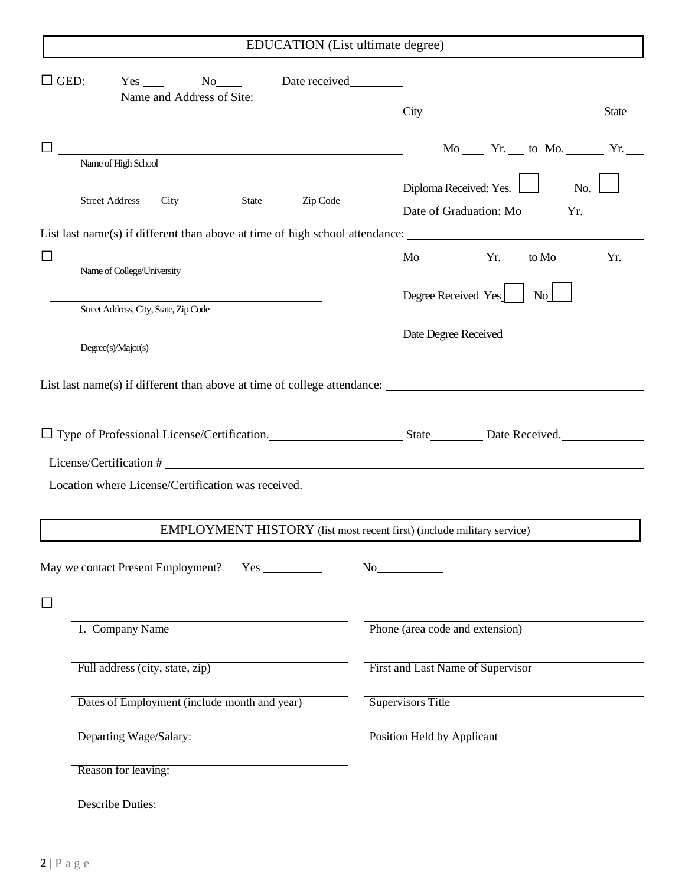| $\Box$ GED:<br>Yes No Date received                                                                                                                                                                                               |                                                                        |
|-----------------------------------------------------------------------------------------------------------------------------------------------------------------------------------------------------------------------------------|------------------------------------------------------------------------|
| Name and Address of Site:                                                                                                                                                                                                         | City<br><b>State</b>                                                   |
| and the state of the state of the state of the state of the state of the state of the state of the state of the<br>The state of the state of the state of the state of the state of the state of the state of the state of the st | $Mo$ $Yr$ . to Mo. $Yr$ .                                              |
| Name of High School                                                                                                                                                                                                               |                                                                        |
| Zip Code<br>City<br>State<br><b>Street Address</b>                                                                                                                                                                                | Diploma Received: Yes. 1 No.                                           |
|                                                                                                                                                                                                                                   | Date of Graduation: Mo ________ Yr.                                    |
| List last name(s) if different than above at time of high school attendance:                                                                                                                                                      |                                                                        |
| <u> 1989 - Johann Barbara, martxa alemaniar amerikan a</u>                                                                                                                                                                        | $Mo$ $Yr$ . to $Mo$ $Yr$ .                                             |
| Name of College/University                                                                                                                                                                                                        |                                                                        |
| Street Address, City, State, Zip Code                                                                                                                                                                                             | Degree Received Yes No                                                 |
|                                                                                                                                                                                                                                   |                                                                        |
| Degree(s)/Major(s)                                                                                                                                                                                                                |                                                                        |
|                                                                                                                                                                                                                                   |                                                                        |
| List last name(s) if different than above at time of college attendance: $\frac{1}{\sqrt{1-\frac{1}{n}}}\left  \frac{1}{n} \right $                                                                                               |                                                                        |
|                                                                                                                                                                                                                                   |                                                                        |
| License/Certification #                                                                                                                                                                                                           |                                                                        |
| Location where License/Certification was received.                                                                                                                                                                                |                                                                        |
|                                                                                                                                                                                                                                   |                                                                        |
|                                                                                                                                                                                                                                   | EMPLOYMENT HISTORY (list most recent first) (include military service) |
|                                                                                                                                                                                                                                   | No                                                                     |
|                                                                                                                                                                                                                                   |                                                                        |
| 1. Company Name                                                                                                                                                                                                                   | Phone (area code and extension)                                        |
| Full address (city, state, zip)                                                                                                                                                                                                   | First and Last Name of Supervisor                                      |
| Dates of Employment (include month and year)                                                                                                                                                                                      | <b>Supervisors Title</b>                                               |
| Departing Wage/Salary:                                                                                                                                                                                                            | Position Held by Applicant                                             |
| Reason for leaving:                                                                                                                                                                                                               |                                                                        |
| <b>Describe Duties:</b>                                                                                                                                                                                                           |                                                                        |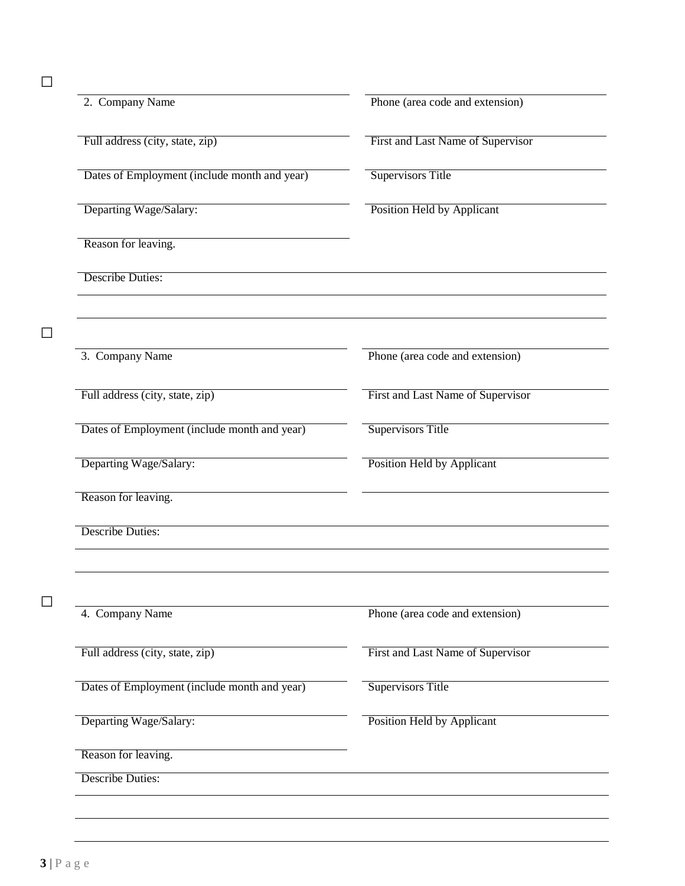□

 $\Box$ 

| 2. Company Name                              | Phone (area code and extension)   |  |  |
|----------------------------------------------|-----------------------------------|--|--|
| Full address (city, state, zip)              | First and Last Name of Supervisor |  |  |
| Dates of Employment (include month and year) | <b>Supervisors Title</b>          |  |  |
| Departing Wage/Salary:                       | <b>Position Held by Applicant</b> |  |  |
| Reason for leaving.                          |                                   |  |  |
| <b>Describe Duties:</b>                      |                                   |  |  |
| 3. Company Name                              | Phone (area code and extension)   |  |  |
| Full address (city, state, zip)              | First and Last Name of Supervisor |  |  |
| Dates of Employment (include month and year) | <b>Supervisors Title</b>          |  |  |
| Departing Wage/Salary:                       | <b>Position Held by Applicant</b> |  |  |
| Reason for leaving.                          |                                   |  |  |
| <b>Describe Duties:</b>                      |                                   |  |  |
|                                              |                                   |  |  |
| 4. Company Name                              | Phone (area code and extension)   |  |  |
| Full address (city, state, zip)              | First and Last Name of Supervisor |  |  |
| Dates of Employment (include month and year) | <b>Supervisors Title</b>          |  |  |
| Departing Wage/Salary:                       | Position Held by Applicant        |  |  |
| Reason for leaving.                          |                                   |  |  |
| <b>Describe Duties:</b>                      |                                   |  |  |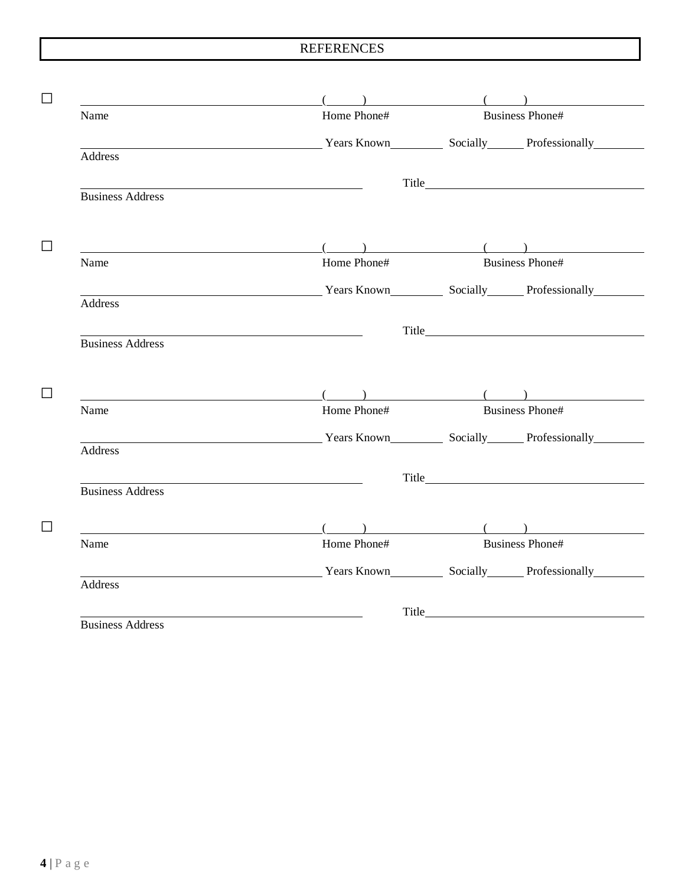|                                                                                                                      | $($ and $($ and $($ and $($ and $($ and $)$ and $($ and $)$ and $($ and $)$ and $($ and $)$ and $($ and $)$ and $($ and $)$ and $($ and $)$ and $($ and $)$ and $($ and $)$ and $($ and $)$ and $($ and $)$ and $($ and $)$ a                     |                        |                        |
|----------------------------------------------------------------------------------------------------------------------|---------------------------------------------------------------------------------------------------------------------------------------------------------------------------------------------------------------------------------------------------|------------------------|------------------------|
| Name                                                                                                                 | Home Phone#                                                                                                                                                                                                                                       |                        | <b>Business Phone#</b> |
|                                                                                                                      | Vears Known Socially Professionally                                                                                                                                                                                                               |                        |                        |
| Address                                                                                                              |                                                                                                                                                                                                                                                   |                        |                        |
|                                                                                                                      |                                                                                                                                                                                                                                                   |                        |                        |
| <b>Business Address</b>                                                                                              |                                                                                                                                                                                                                                                   |                        |                        |
|                                                                                                                      |                                                                                                                                                                                                                                                   |                        |                        |
|                                                                                                                      | $\overline{a}$ ( ) and ( ) and ( ) and ( ) and ( ) and ( ) and ( ) and ( ) and ( ) and ( ) and ( ) and ( ) and ( ) and ( ) and ( ) and ( ) and ( ) and ( ) and ( ) and ( ) and ( ) and ( ) and ( ) and ( ) and ( ) and ( ) and ( )                |                        |                        |
| Name                                                                                                                 | Home Phone#                                                                                                                                                                                                                                       |                        | <b>Business Phone#</b> |
| <u> 1989 - Johann Barn, mars ann an t-Amhain Aonaich an t-Aonaich an t-Aonaich ann an t-Aonaich ann an t-Aonaich</u> | Years Known Socially Professionally                                                                                                                                                                                                               |                        |                        |
| Address                                                                                                              |                                                                                                                                                                                                                                                   |                        |                        |
|                                                                                                                      |                                                                                                                                                                                                                                                   |                        |                        |
| <b>Business Address</b>                                                                                              |                                                                                                                                                                                                                                                   |                        |                        |
|                                                                                                                      |                                                                                                                                                                                                                                                   |                        |                        |
|                                                                                                                      |                                                                                                                                                                                                                                                   |                        |                        |
|                                                                                                                      |                                                                                                                                                                                                                                                   |                        |                        |
|                                                                                                                      | $\overline{a}$ ( ) and ( ) and ( ) and ( ) and ( ) and ( ) and ( ) and ( ) and ( ) and ( ) and ( ) and ( ) and ( ) and ( ) and ( ) and ( ) and ( ) and ( ) and ( ) and ( ) and ( ) and ( ) and ( ) and ( ) and ( ) and ( ) and ( )<br>Home Phone# | <b>Business Phone#</b> |                        |
|                                                                                                                      |                                                                                                                                                                                                                                                   |                        |                        |
|                                                                                                                      | Example 2013 Years Known Mean Socially Professionally                                                                                                                                                                                             |                        |                        |
|                                                                                                                      |                                                                                                                                                                                                                                                   |                        |                        |
|                                                                                                                      | <u> 1980 - Johann Barbara, martxa alemaniar a</u>                                                                                                                                                                                                 |                        |                        |
|                                                                                                                      |                                                                                                                                                                                                                                                   |                        |                        |
|                                                                                                                      | $\begin{pmatrix} 1 & 1 & 1 \\ 1 & 1 & 1 \\ 1 & 1 & 1 \end{pmatrix}$                                                                                                                                                                               |                        |                        |
|                                                                                                                      | Home Phone#                                                                                                                                                                                                                                       |                        | <b>Business Phone#</b> |
|                                                                                                                      | <b>Example 21 Second Second Second Second Second Second Second Second Second Second Second Second Second Second Second Second Second Second Second Second Second Second Second Second Second Second Second Second Second Second </b>              |                        |                        |
| Name<br>Address<br><b>Business Address</b><br>Name<br>Address                                                        |                                                                                                                                                                                                                                                   |                        |                        |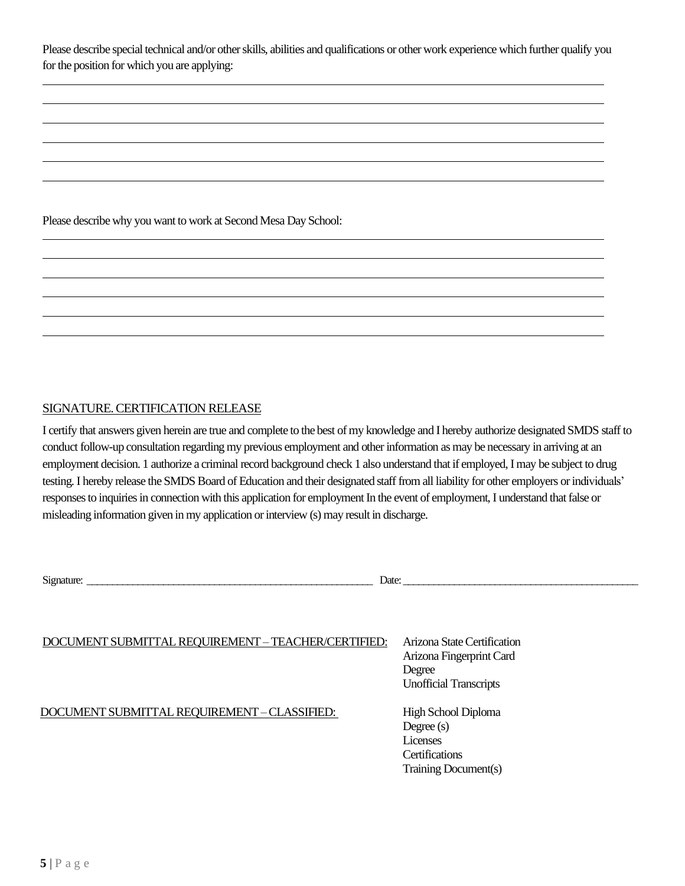Please describe special technical and/or other skills, abilities and qualifications or other work experience which further qualify you for the position for which you are applying:

Please describe why you want to work at Second Mesa Day School:

### SIGNATURE. CERTIFICATION RELEASE

I certify that answers given herein are true and complete to thebest of my knowledge and I hereby authorize designated SMDS staff to conduct follow-up consultation regarding my previous employment and other information as may be necessary in arriving at an employment decision. 1 authorize a criminal record background check 1 also understand that if employed, I may be subject to drug testing. I hereby release the SMDS Board of Education and their designated staff from all liability for other employers or individuals' responses to inquiries in connection with this application for employment In the event of employment, I understand that false or misleading information given in my application or interview (s) may result in discharge.

Signature: \_\_\_\_\_\_\_\_\_\_\_\_\_\_\_\_\_\_\_\_\_\_\_\_\_\_\_\_\_\_\_\_\_\_\_\_\_\_\_\_\_\_\_\_\_\_\_\_\_\_\_\_\_\_\_\_ Date: \_\_\_\_\_\_\_\_\_\_\_\_\_\_\_\_\_\_\_\_\_\_\_\_\_\_\_\_\_\_\_\_\_\_\_\_\_\_\_\_\_\_\_\_\_\_

| DOCUMENT SUBMITTAL REQUIREMENT - TEACHER/CERTIFIED: | Arizona State Certification<br>Arizona Fingerprint Card<br>Degree<br><b>Unofficial Transcripts</b> |
|-----------------------------------------------------|----------------------------------------------------------------------------------------------------|
| DOCUMENT SUBMITTAL REQUIREMENT - CLASSIFIED:        | High School Diploma<br>Degree $(s)$<br>Licenses<br><b>Certifications</b><br>Training Document(s)   |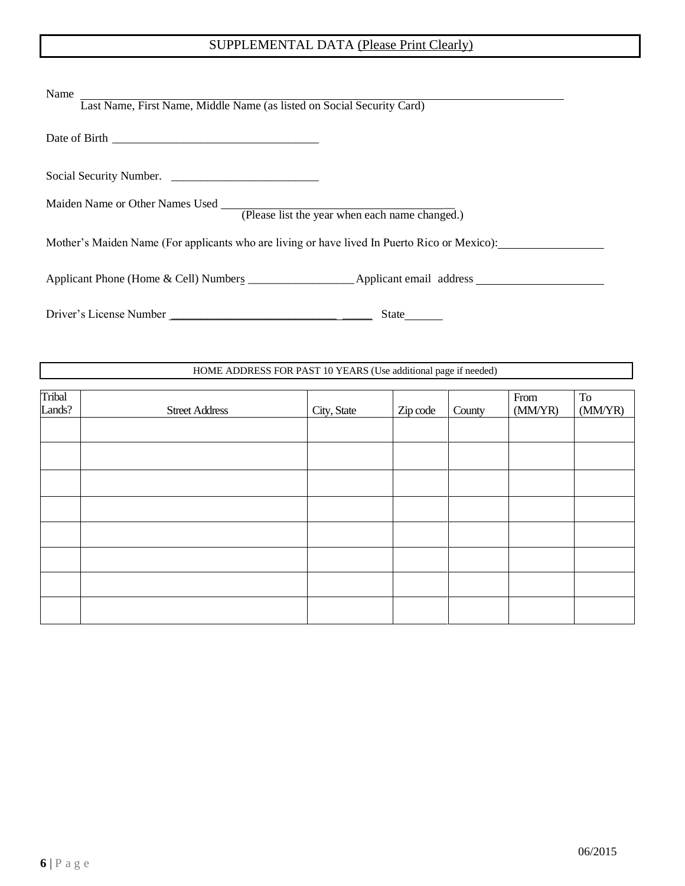# SUPPLEMENTAL DATA (Please Print Clearly)

| Name<br>Last Name, First Name, Middle Name (as listed on Social Security Card)               |  |  |  |  |
|----------------------------------------------------------------------------------------------|--|--|--|--|
|                                                                                              |  |  |  |  |
| Social Security Number.                                                                      |  |  |  |  |
| Maiden Name or Other Names Used (Please list the year when each name changed.)               |  |  |  |  |
| Mother's Maiden Name (For applicants who are living or have lived In Puerto Rico or Mexico): |  |  |  |  |
|                                                                                              |  |  |  |  |
| Driver's License Number<br>State $\qquad \qquad$                                             |  |  |  |  |

#### HOME ADDRESS FOR PAST 10 YEARS (Use additional page if needed)

| Tribal<br>Lands? | <b>Street Address</b> | City, State | Zip code | County | From<br>(MM/YP) | To<br>(MM/YR) |
|------------------|-----------------------|-------------|----------|--------|-----------------|---------------|
|                  |                       |             |          |        |                 |               |
|                  |                       |             |          |        |                 |               |
|                  |                       |             |          |        |                 |               |
|                  |                       |             |          |        |                 |               |
|                  |                       |             |          |        |                 |               |
|                  |                       |             |          |        |                 |               |
|                  |                       |             |          |        |                 |               |
|                  |                       |             |          |        |                 |               |
|                  |                       |             |          |        |                 |               |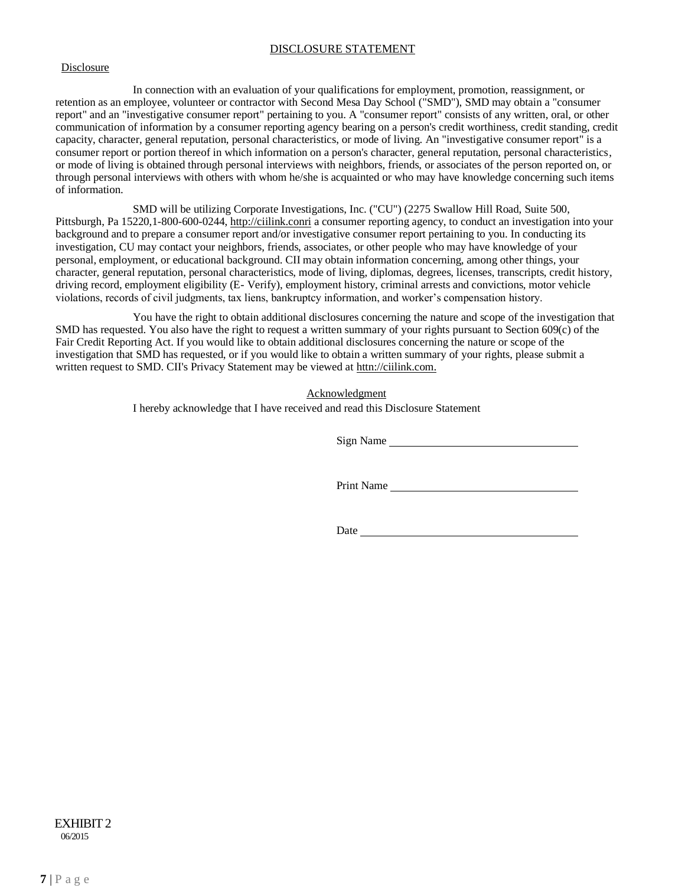#### DISCLOSURE STATEMENT

#### Disclosure

In connection with an evaluation of your qualifications for employment, promotion, reassignment, or retention as an employee, volunteer or contractor with Second Mesa Day School ("SMD"), SMD may obtain a "consumer report" and an "investigative consumer report" pertaining to you. A "consumer report" consists of any written, oral, or other communication of information by a consumer reporting agency bearing on a person's credit worthiness, credit standing, credit capacity, character, general reputation, personal characteristics, or mode of living. An "investigative consumer report" is a consumer report or portion thereof in which information on a person's character, general reputation, personal characteristics, or mode of living is obtained through personal interviews with neighbors, friends, or associates of the person reported on, or through personal interviews with others with whom he/she is acquainted or who may have knowledge concerning such items of information.

SMD will be utilizing Corporate Investigations, Inc. ("CU") (2275 Swallow Hill Road, Suite 500, Pittsburgh, Pa 15220,1-800-600-0244[, http://ciilink.conri](http://ciilink.conri/) a consumer reporting agency, to conduct an investigation into your background and to prepare a consumer report and/or investigative consumer report pertaining to you. In conducting its investigation, CU may contact your neighbors, friends, associates, or other people who may have knowledge of your personal, employment, or educational background. CII may obtain information concerning, among other things, your character, general reputation, personal characteristics, mode of living, diplomas, degrees, licenses, transcripts, credit history, driving record, employment eligibility (E- Verify), employment history, criminal arrests and convictions, motor vehicle violations, records of civil judgments, tax liens, bankruptcy information, and worker's compensation history.

You have the right to obtain additional disclosures concerning the nature and scope of the investigation that SMD has requested. You also have the right to request a written summary of your rights pursuant to Section 609(c) of the Fair Credit Reporting Act. If you would like to obtain additional disclosures concerning the nature or scope of the investigation that SMD has requested, or if you would like to obtain a written summary of your rights, please submit a written request to SMD. CII's Privacy Statement may be viewed at httn://ciilink.com.

Acknowledgment

I hereby acknowledge that I have received and read this Disclosure Statement

Sign Name

Print Name

Date and the state of the state of the state of the state of the state of the state of the state of the state of the state of the state of the state of the state of the state of the state of the state of the state of the s

06/2015 EXHIBIT 2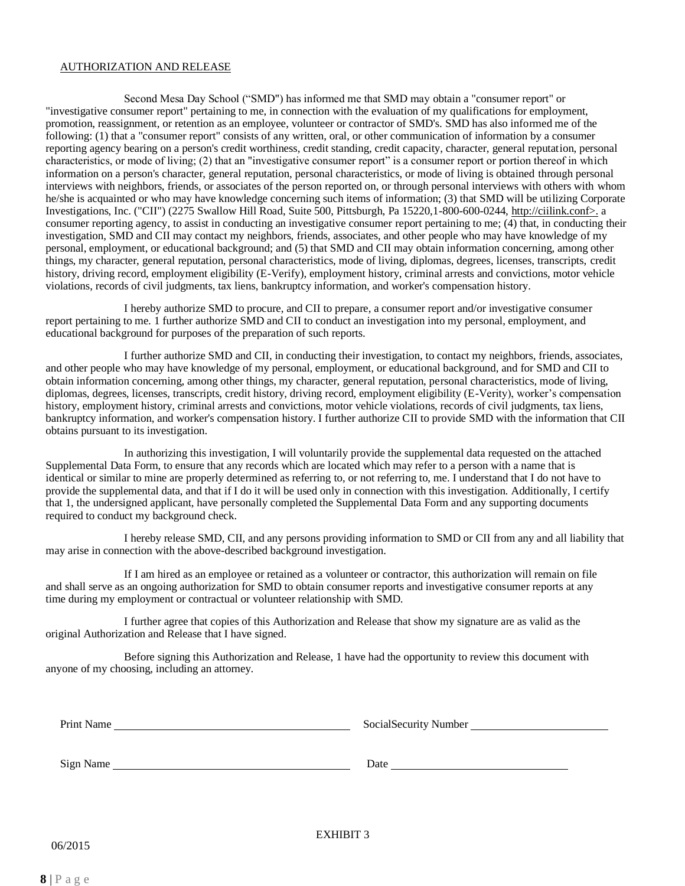#### AUTHORIZATION AND RELEASE

Second Mesa Day School ("SMD") has informed me that SMD may obtain a "consumer report" or "investigative consumer report" pertaining to me, in connection with the evaluation of my qualifications for employment, promotion, reassignment, or retention as an employee, volunteer or contractor of SMD's. SMD has also informed me of the following: (1) that a "consumer report" consists of any written, oral, or other communication of information by a consumer reporting agency bearing on a person's credit worthiness, credit standing, credit capacity, character, general reputation, personal characteristics, or mode of living; (2) that an "investigative consumer report" is a consumer report or portion thereof in which information on a person's character, general reputation, personal characteristics, or mode of living is obtained through personal interviews with neighbors, friends, or associates of the person reported on, or through personal interviews with others with whom he/she is acquainted or who may have knowledge concerning such items of information; (3) that SMD will be utilizing Corporate Investigations, Inc. ("CII") (2275 Swallow Hill Road, Suite 500, Pittsburgh, Pa 15220,1-800-600-0244, [http://ciilink.conf>](http://ciilink.conf/). a consumer reporting agency, to assist in conducting an investigative consumer report pertaining to me; (4) that, in conducting their investigation, SMD and CII may contact my neighbors, friends, associates, and other people who may have knowledge of my personal, employment, or educational background; and (5) that SMD and CII may obtain information concerning, among other things, my character, general reputation, personal characteristics, mode of living, diplomas, degrees, licenses, transcripts, credit history, driving record, employment eligibility (E-Verify), employment history, criminal arrests and convictions, motor vehicle violations, records of civil judgments, tax liens, bankruptcy information, and worker's compensation history.

I hereby authorize SMD to procure, and CII to prepare, a consumer report and/or investigative consumer report pertaining to me. 1 further authorize SMD and CII to conduct an investigation into my personal, employment, and educational background for purposes of the preparation of such reports.

I further authorize SMD and CII, in conducting their investigation, to contact my neighbors, friends, associates, and other people who may have knowledge of my personal, employment, or educational background, and for SMD and CII to obtain information concerning, among other things, my character, general reputation, personal characteristics, mode of living, diplomas, degrees, licenses, transcripts, credit history, driving record, employment eligibility (E-Verity), worker's compensation history, employment history, criminal arrests and convictions, motor vehicle violations, records of civil judgments, tax liens, bankruptcy information, and worker's compensation history. I further authorize CII to provide SMD with the information that CII obtains pursuant to its investigation.

In authorizing this investigation, I will voluntarily provide the supplemental data requested on the attached Supplemental Data Form, to ensure that any records which are located which may refer to a person with a name that is identical or similar to mine are properly determined as referring to, or not referring to, me. I understand that I do not have to provide the supplemental data, and that if I do it will be used only in connection with this investigation. Additionally, I certify that 1, the undersigned applicant, have personally completed the Supplemental Data Form and any supporting documents required to conduct my background check.

I hereby release SMD, CII, and any persons providing information to SMD or CII from any and all liability that may arise in connection with the above-described background investigation.

If I am hired as an employee or retained as a volunteer or contractor, this authorization will remain on file and shall serve as an ongoing authorization for SMD to obtain consumer reports and investigative consumer reports at any time during my employment or contractual or volunteer relationship with SMD.

I further agree that copies of this Authorization and Release that show my signature are as valid as the original Authorization and Release that I have signed.

Before signing this Authorization and Release, 1 have had the opportunity to review this document with anyone of my choosing, including an attorney.

Print Name SocialSecurity Number

Sign Name Date

06/2015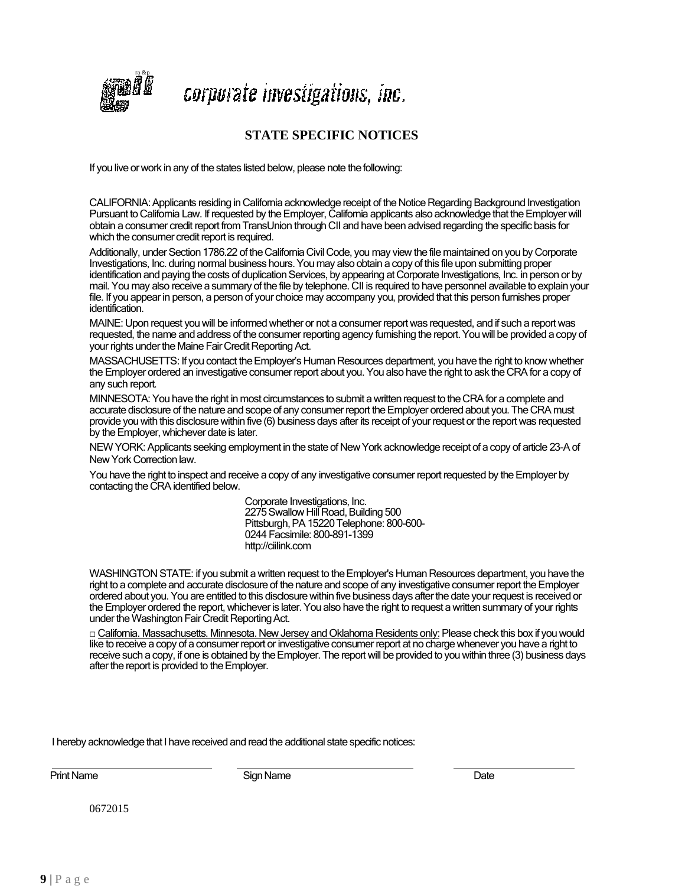

corpurate investigations, inc.

## **STATE SPECIFIC NOTICES**

If you live or work in any of the states listed below, please note the following:

CALIFORNIA: Applicants residing in California acknowledge receipt of the Notice Regarding Background Investigation Pursuant to California Law. If requested by the Employer, California applicants also acknowledge that the Employer will obtain a consumer credit report from TransUnion through CII and have been advised regarding the specific basis for which the consumer credit report is required.

Additionally, under Section 1786.22 of the California Civil Code, you may view the file maintained on you by Corporate Investigations, Inc. during normal business hours. You may also obtain a copy of this file upon submitting proper identification and paying the costs of duplication Services, by appearing at Corporate Investigations, Inc. in person or by mail. You may also receive a summary of the file by telephone. CII is required to have personnel available to explain your file. If you appearin person, a person of your choice may accompany you, provided that this person furnishes proper identification.

MAINE: Upon request you will be informed whether or not a consumer report was requested, and if such a report was requested, the name and address of the consumer reporting agency furnishing the report. You will be provided a copy of your rights under the Maine Fair Credit Reporting Act.

MASSACHUSETTS: If you contact the Employer's Human Resources department, you have the right to know whether the Employer ordered an investigative consumer report about you. You also have the right to ask the CRA for a copy of any such report.

MINNESOTA: You have the right in most circumstances to submit a written request to the CRA for a complete and accurate disclosure of the nature and scope of any consumer report the Employer ordered about you. The CRA must provide you with this disclosure within five (6) business days after its receipt of your request or the report was requested by the Employer, whichever date is later.

NEW YORK: Applicants seeking employment in the state of New York acknowledge receipt of a copy of article 23-A of New York Correction law.

You have the right to inspect and receive a copy of any investigative consumer report requested by the Employer by contacting the CRA identified below.

> Corporate Investigations, Inc. 2275 Swallow Hill Road, Building 500 Pittsburgh, PA 15220 Telephone: 800-600- 0244 Facsimile: 800-891-1399 [http://ciilink.com](http://ciilink.com/)

WASHINGTON STATE: if you submit a written request to the Employer's Human Resources department, you have the right to a complete and accurate disclosure of the nature and scope of any investigative consumer report the Employer ordered about you. You are entitled to this disclosure within five business days after the date your request is received or the Employer ordered the report, whichever is later. You also have the right to request a written summary of your rights under the Washington Fair Credit Reporting Act.

□ California. Massachusetts. Minnesota. New Jersey and Oklahoma Residents only: Please check this box if you would like to receive a copy of a consumer report or investigative consumer report at no charge whenever you have a right to receive such a copy, if one is obtained by the Employer. The report will be provided to you within three (3) business days after the report is provided to the Employer.

I hereby acknowledge that I have received and read the additional state specific notices:

Print Name **Date Date Communist Communist Communist Communist Communist Communist Communist Communist Communist Communist Communist Communist Communist Communist Communist Communist Communist Communist Communist Communis** 

0672015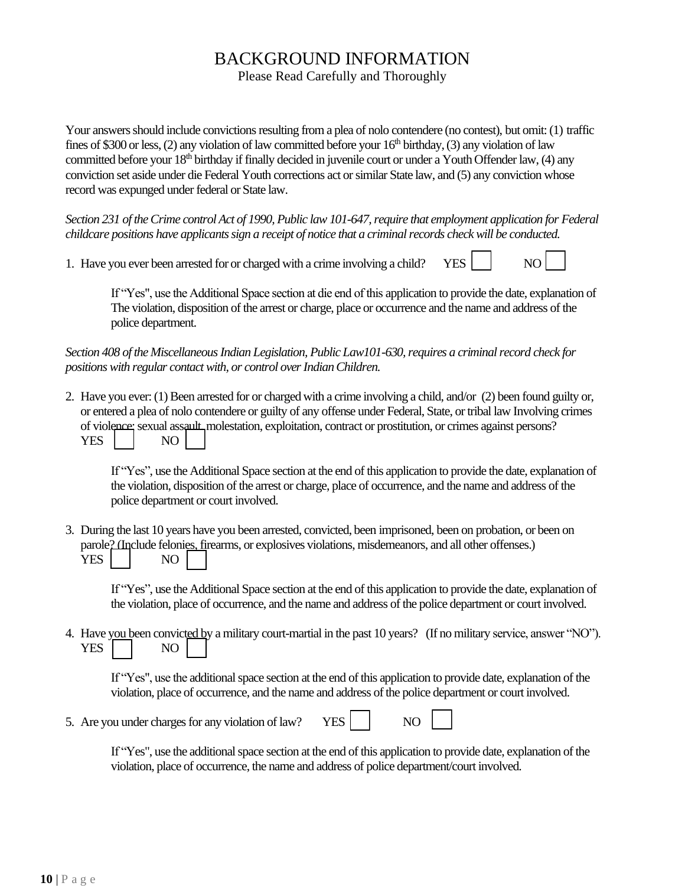# BACKGROUND INFORMATION

Please Read Carefully and Thoroughly

Your answers should include convictions resulting from a plea of nolo contendere (no contest), but omit: (1) traffic fines of \$300 or less, (2) any violation of law committed before your  $16<sup>th</sup>$  birthday, (3) any violation of law committed before your 18<sup>th</sup> birthday if finally decided in juvenile court or under a Youth Offender law, (4) any conviction set aside under die Federal Youth corrections act or similar State law, and (5) any conviction whose record was expunged under federal or State law.

*Section 231 of the Crime control Act of 1990, Public law 101-647, require that employment application for Federal childcare positions have applicants sign a receipt of notice that a criminal records check will be conducted.*

1. Have you ever been arrested for or charged with a crime involving a child? YES  $\parallel$  NO



If "Yes", use the Additional Space section at die end of this application to provide the date, explanation of The violation, disposition of the arrest or charge, place or occurrence and the name and address of the police department.

*Section 408 of the Miscellaneous Indian Legislation, Public Law101-630, requires a criminal record check for positions with regular contact with, or control over Indian Children.*

2. Have you ever: (1) Been arrested for or charged with a crime involving a child, and/or (2) been found guilty or, or entered a plea of nolo contendere or guilty of any offense under Federal, State, or tribal law Involving crimes of violence; sexual assault, molestation, exploitation, contract or prostitution, or crimes against persons? YES I NO

If "Yes", use the Additional Space section at the end of this application to provide the date, explanation of the violation, disposition of the arrest or charge, place of occurrence, and the name and address of the police department or court involved.

3. During the last 10 years have you been arrested, convicted, been imprisoned, been on probation, or been on parole? (Include felonies, firearms, or explosives violations, misdemeanors, and all other offenses.) YES NO

If "Yes", use the Additional Space section at the end of this application to provide the date, explanation of the violation, place of occurrence, and the name and address of the police department or court involved.

4. Have you been convicted by a military court-martial in the past 10 years? (If no military service, answer "NO"). YES I NO

If "Yes", use the additional space section at the end of this application to provide date, explanation of the violation, place of occurrence, and the name and address of the police department or court involved.

5. Are you under charges for any violation of law? YES NO



If "Yes", use the additional space section at the end of this application to provide date, explanation of the violation, place of occurrence, the name and address of police department/court involved.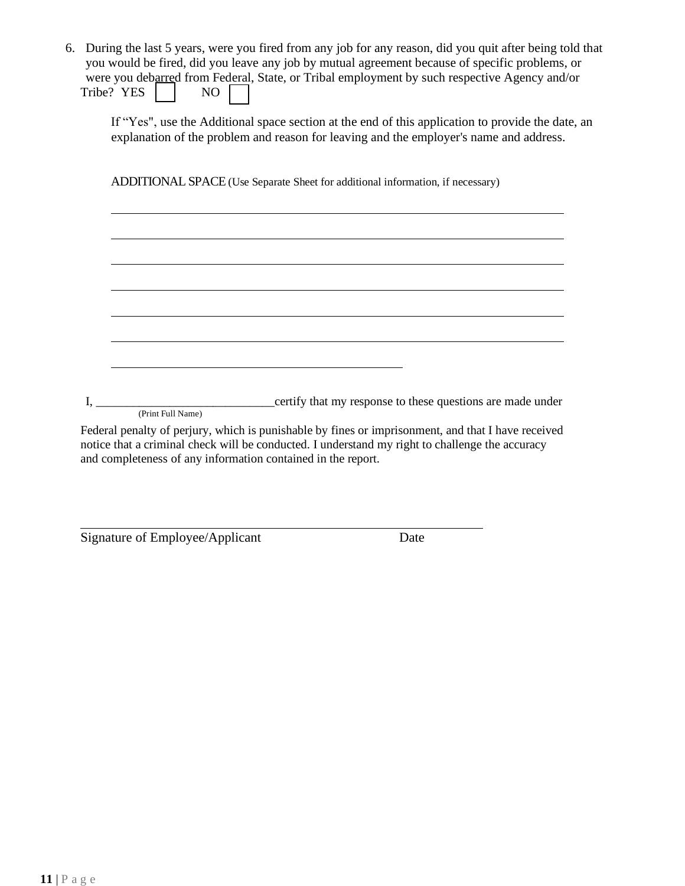| 6. | During the last 5 years, were you fired from any job for any reason, did you quit after being told that<br>you would be fired, did you leave any job by mutual agreement because of specific problems, or<br>were you debarred from Federal, State, or Tribal employment by such respective Agency and/or<br>Tribe? YES<br>NO                                                                                                                                                                                                                                      |
|----|--------------------------------------------------------------------------------------------------------------------------------------------------------------------------------------------------------------------------------------------------------------------------------------------------------------------------------------------------------------------------------------------------------------------------------------------------------------------------------------------------------------------------------------------------------------------|
|    | If "Yes", use the Additional space section at the end of this application to provide the date, an<br>explanation of the problem and reason for leaving and the employer's name and address.                                                                                                                                                                                                                                                                                                                                                                        |
|    | ADDITIONAL SPACE (Use Separate Sheet for additional information, if necessary)                                                                                                                                                                                                                                                                                                                                                                                                                                                                                     |
|    |                                                                                                                                                                                                                                                                                                                                                                                                                                                                                                                                                                    |
|    |                                                                                                                                                                                                                                                                                                                                                                                                                                                                                                                                                                    |
|    |                                                                                                                                                                                                                                                                                                                                                                                                                                                                                                                                                                    |
|    |                                                                                                                                                                                                                                                                                                                                                                                                                                                                                                                                                                    |
|    |                                                                                                                                                                                                                                                                                                                                                                                                                                                                                                                                                                    |
|    | (Print Full Name)                                                                                                                                                                                                                                                                                                                                                                                                                                                                                                                                                  |
|    | Federal penalty of perjury, which is punishable by fines or imprisonment, and that I have received<br>$\mathcal{A} = \mathcal{A} + \mathcal{A} + \mathcal{A} + \mathcal{A} + \mathcal{A} + \mathcal{A} + \mathcal{A} + \mathcal{A} + \mathcal{A} + \mathcal{A} + \mathcal{A} + \mathcal{A} + \mathcal{A} + \mathcal{A} + \mathcal{A} + \mathcal{A} + \mathcal{A} + \mathcal{A} + \mathcal{A} + \mathcal{A} + \mathcal{A} + \mathcal{A} + \mathcal{A} + \mathcal{A} + \mathcal{A} + \mathcal{A} + \mathcal{A} + \mathcal{A} + \mathcal{A} + \mathcal{A} + \mathcal$ |

notice that a criminal check will be conducted. I understand my right to challenge the accuracy and completeness of any information contained in the report.

Signature of Employee/Applicant Date